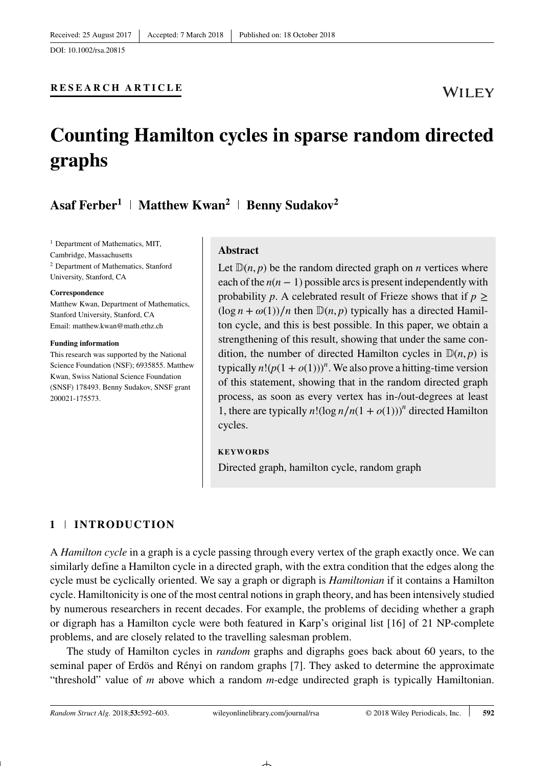## **RESEARCH ARTICLE**

# **Counting Hamilton cycles in sparse random directed graphs**

## Asaf Ferber<sup>1</sup> | Matthew Kwan<sup>2</sup> | Benny Sudakov<sup>2</sup>

<sup>1</sup> Department of Mathematics, MIT, Cambridge, Massachusetts <sup>2</sup> Department of Mathematics, Stanford University, Stanford, CA

#### **Correspondence**

Matthew Kwan, Department of Mathematics, Stanford University, Stanford, CA Email: matthew.kwan@math.ethz.ch

#### **Funding information**

This research was supported by the National Science Foundation (NSF); 6935855. Matthew Kwan, Swiss National Science Foundation (SNSF) 178493. Benny Sudakov, SNSF grant 200021-175573.

### **Abstract**

Let  $D(n, p)$  be the random directed graph on *n* vertices where each of the  $n(n - 1)$  possible arcs is present independently with probability *p*. A celebrated result of Frieze shows that if  $p \geq$  $(\log n + \omega(1))/n$  then  $\mathbb{D}(n, p)$  typically has a directed Hamilton cycle, and this is best possible. In this paper, we obtain a strengthening of this result, showing that under the same condition, the number of directed Hamilton cycles in  $\mathbb{D}(n, p)$  is typically  $n!(p(1+o(1)))^n$ . We also prove a hitting-time version of this statement, showing that in the random directed graph process, as soon as every vertex has in-/out-degrees at least 1, there are typically  $n!(\log n/n(1 + o(1)))^n$  directed Hamilton cycles.

#### **KEYWORDS**

Directed graph, hamilton cycle, random graph

## **1 INTRODUCTION**

A *Hamilton cycle* in a graph is a cycle passing through every vertex of the graph exactly once. We can similarly define a Hamilton cycle in a directed graph, with the extra condition that the edges along the cycle must be cyclically oriented. We say a graph or digraph is *Hamiltonian* if it contains a Hamilton cycle. Hamiltonicity is one of the most central notions in graph theory, and has been intensively studied by numerous researchers in recent decades. For example, the problems of deciding whether a graph or digraph has a Hamilton cycle were both featured in Karp's original list [16] of 21 NP-complete problems, and are closely related to the travelling salesman problem.

The study of Hamilton cycles in *random* graphs and digraphs goes back about 60 years, to the seminal paper of Erdös and Rényi on random graphs [7]. They asked to determine the approximate "threshold" value of *m* above which a random *m*-edge undirected graph is typically Hamiltonian.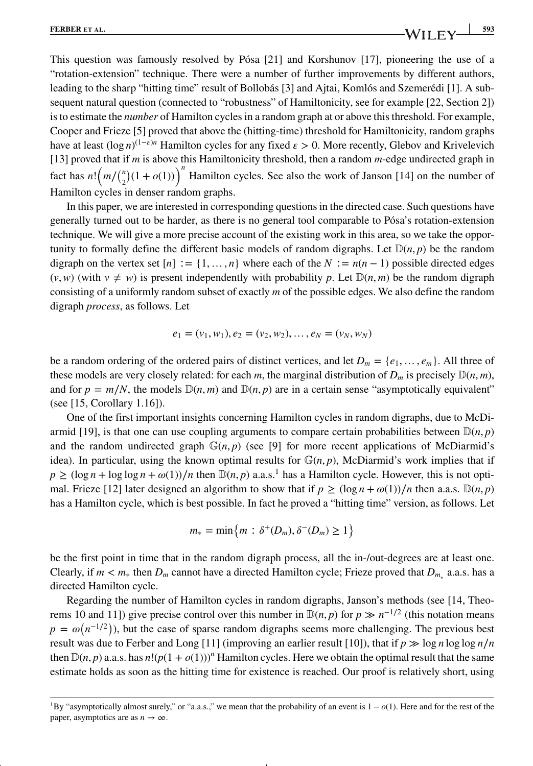This question was famously resolved by Pósa [21] and Korshunov [17], pioneering the use of a "rotation-extension" technique. There were a number of further improvements by different authors, leading to the sharp "hitting time" result of Bollobás [3] and Ajtai, Komlós and Szemerédi [1]. A subsequent natural question (connected to "robustness" of Hamiltonicity, see for example [22, Section 2]) is to estimate the *number* of Hamilton cycles in a random graph at or above this threshold. For example, Cooper and Frieze [5] proved that above the (hitting-time) threshold for Hamiltonicity, random graphs have at least (log *n*)<sup>(1- $\epsilon$ )<sup>*n*</sup> Hamilton cycles for any fixed  $\epsilon > 0$ . More recently, Glebov and Krivelevich</sup> [13] proved that if *m* is above this Hamiltonicity threshold, then a random *m*-edge undirected graph in fact has  $n! (m/(n/2)(1 + o(1)))$ <sup>n</sup> Hamilton cycles. See also the work of Janson [14] on the number of Hamilton cycles in denser random graphs.

In this paper, we are interested in corresponding questions in the directed case. Such questions have generally turned out to be harder, as there is no general tool comparable to Pósa's rotation-extension technique. We will give a more precise account of the existing work in this area, so we take the opportunity to formally define the different basic models of random digraphs. Let  $D(n, p)$  be the random digraph on the vertex set  $[n] := \{1, \ldots, n\}$  where each of the  $N := n(n-1)$  possible directed edges  $(v, w)$  (with  $v \neq w$ ) is present independently with probability p. Let  $\mathbb{D}(n, m)$  be the random digraph consisting of a uniformly random subset of exactly *m* of the possible edges. We also define the random digraph *process*, as follows. Let

$$
e_1 = (v_1, w_1), e_2 = (v_2, w_2), \dots, e_N = (v_N, w_N)
$$

be a random ordering of the ordered pairs of distinct vertices, and let  $D_m = \{e_1, \ldots, e_m\}$ . All three of these models are very closely related: for each *m*, the marginal distribution of  $D_m$  is precisely  $\mathbb{D}(n,m)$ , and for  $p = m/N$ , the models  $\mathbb{D}(n, m)$  and  $\mathbb{D}(n, p)$  are in a certain sense "asymptotically equivalent" (see [15, Corollary 1.16]).

One of the first important insights concerning Hamilton cycles in random digraphs, due to McDiarmid [19], is that one can use coupling arguments to compare certain probabilities between  $\mathbb{D}(n, p)$ and the random undirected graph  $\mathbb{G}(n, p)$  (see [9] for more recent applications of McDiarmid's idea). In particular, using the known optimal results for  $\mathbb{G}(n, p)$ , McDiarmid's work implies that if  $p \geq (\log n + \log \log n + \omega(1))/n$  $p \geq (\log n + \log \log n + \omega(1))/n$  $p \geq (\log n + \log \log n + \omega(1))/n$  then  $\mathbb{D}(n, p)$  a.a.s.<sup>1</sup> has a Hamilton cycle. However, this is not optimal. Frieze [12] later designed an algorithm to show that if  $p \geq (\log n + \omega(1))/n$  then a.a.s.  $\mathbb{D}(n, p)$ has a Hamilton cycle, which is best possible. In fact he proved a "hitting time" version, as follows. Let

$$
m_* = \min\left\{m : \delta^+(D_m), \delta^-(D_m) \ge 1\right\}
$$

be the first point in time that in the random digraph process, all the in-/out-degrees are at least one. Clearly, if  $m < m^*$  then  $D_m$  cannot have a directed Hamilton cycle; Frieze proved that  $D_{m_*}$  a.a.s. has a directed Hamilton cycle.

Regarding the number of Hamilton cycles in random digraphs, Janson's methods (see [14, Theorems 10 and 11]) give precise control over this number in  $\mathbb{D}(n, p)$  for  $p \gg n^{-1/2}$  (this notation means  $p = \omega(n^{-1/2})$ ), but the case of sparse random digraphs seems more challenging. The previous best result was due to Ferber and Long [11] (improving an earlier result [10]), that if  $p \gg \log n \log \log n/n$ then  $\mathbb{D}(n, p)$  a.a.s. has  $n! (p(1 + o(1)))^n$  Hamilton cycles. Here we obtain the optimal result that the same estimate holds as soon as the hitting time for existence is reached. Our proof is relatively short, using

<span id="page-1-0"></span><sup>1</sup>By "asymptotically almost surely," or "a.a.s.," we mean that the probability of an event is 1 − *o*(1). Here and for the rest of the paper, asymptotics are as  $n \to \infty$ .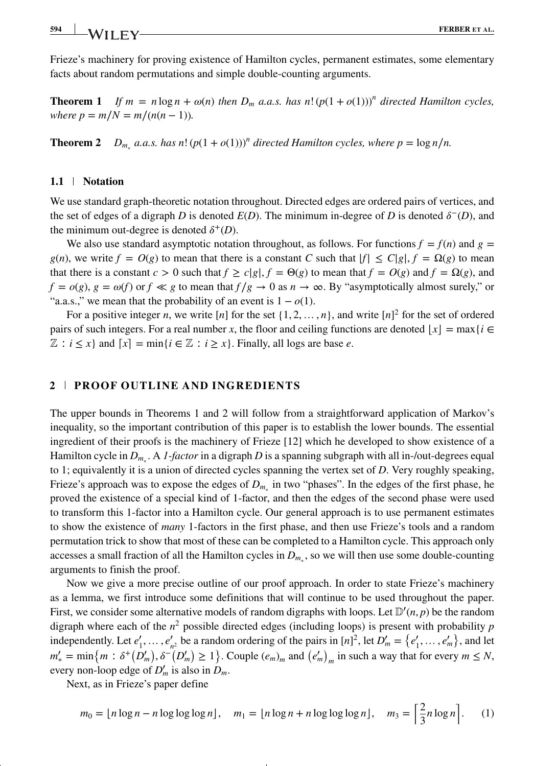Frieze's machinery for proving existence of Hamilton cycles, permanent estimates, some elementary facts about random permutations and simple double-counting arguments.

**Theorem 1** *If*  $m = n \log n + \omega(n)$  *then*  $D_m$  *a.a.s.* has n!  $(p(1 + o(1)))^n$  directed Hamilton cycles, *where p* =  $m/N = m/(n(n-1))$ .

**Theorem 2** *D<sub>m<sup>∗</sup></sub> <i>a.a.s.* has n!  $(p(1+o(1)))^n$  directed Hamilton cycles, where  $p = \log n/n$ .

## **1.1 Notation**

We use standard graph-theoretic notation throughout. Directed edges are ordered pairs of vertices, and the set of edges of a digraph *D* is denoted  $E(D)$ . The minimum in-degree of *D* is denoted  $\delta^{-}(D)$ , and the minimum out-degree is denoted  $\delta^+(D)$ .

We also use standard asymptotic notation throughout, as follows. For functions  $f = f(n)$  and  $g =$  $g(n)$ , we write  $f = O(g)$  to mean that there is a constant *C* such that  $|f| \leq C|g|$ ,  $f = \Omega(g)$  to mean that there is a constant  $c > 0$  such that  $f \ge c|g|$ ,  $f = \Theta(g)$  to mean that  $f = O(g)$  and  $f = \Omega(g)$ , and  $f = o(g)$ ,  $g = \omega(f)$  or  $f \ll g$  to mean that  $f/g \to 0$  as  $n \to \infty$ . By "asymptotically almost surely," or "a.a.s.," we mean that the probability of an event is  $1 - o(1)$ .

For a positive integer *n*, we write [*n*] for the set  $\{1, 2, \ldots, n\}$ , and write [*n*]<sup>2</sup> for the set of ordered pairs of such integers. For a real number *x*, the floor and ceiling functions are denoted  $|x| = \max\{i \in \mathbb{R}\}$  $\mathbb{Z}: i \leq x$  and  $[x] = \min\{i \in \mathbb{Z}: i \geq x\}$ . Finally, all logs are base *e*.

## **2 PROOF OUTLINE AND INGREDIENTS**

The upper bounds in Theorems 1 and 2 will follow from a straightforward application of Markov's inequality, so the important contribution of this paper is to establish the lower bounds. The essential ingredient of their proofs is the machinery of Frieze [12] which he developed to show existence of a Hamilton cycle in *Dm*<sup>∗</sup> . A *1-factor* in a digraph *D* is a spanning subgraph with all in-/out-degrees equal to 1; equivalently it is a union of directed cycles spanning the vertex set of *D*. Very roughly speaking, Frieze's approach was to expose the edges of *Dm*<sup>∗</sup> in two "phases". In the edges of the first phase, he proved the existence of a special kind of 1-factor, and then the edges of the second phase were used to transform this 1-factor into a Hamilton cycle. Our general approach is to use permanent estimates to show the existence of *many* 1-factors in the first phase, and then use Frieze's tools and a random permutation trick to show that most of these can be completed to a Hamilton cycle. This approach only accesses a small fraction of all the Hamilton cycles in *Dm*<sup>∗</sup> , so we will then use some double-counting arguments to finish the proof.

Now we give a more precise outline of our proof approach. In order to state Frieze's machinery as a lemma, we first introduce some definitions that will continue to be used throughout the paper. First, we consider some alternative models of random digraphs with loops. Let  $\mathbb{D}'(n, p)$  be the random digraph where each of the  $n^2$  possible directed edges (including loops) is present with probability  $p$ independently. Let  $e'_1, \ldots, e'_{n^2}$  be a random ordering of the pairs in  $[n]^2$ , let  $D'_m = \{e'_1, \ldots, e'_m\}$ , and let  $m'_{*} = \min\{m : \delta^{+}(D'_{m}), \delta^{-}(D'_{m}) \ge 1\}$ . Couple  $(e_{m})_{m}$  and  $(e'_{m})_{m}$  in such a way that for every  $m \le N$ , every non-loop edge of  $D'_m$  is also in  $D_m$ .

Next, as in Frieze's paper define

$$
m_0 = \lfloor n \log n - n \log \log \log n \rfloor, \quad m_1 = \lfloor n \log n + n \log \log \log n \rfloor, \quad m_3 = \left\lceil \frac{2}{3} n \log n \right\rceil. \tag{1}
$$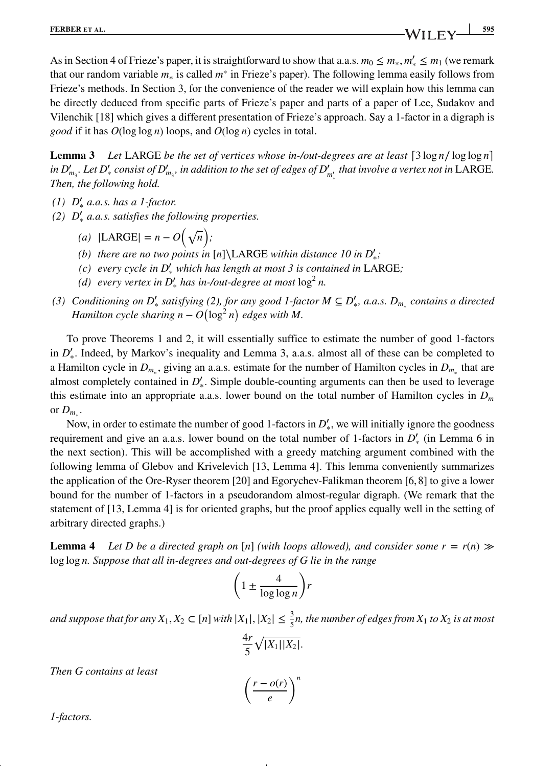As in Section 4 of Frieze's paper, it is straightforward to show that a.a.s.  $m_0 \le m_*, m'_* \le m_1$  (we remark that our random variable *m*<sup>∗</sup> is called *m*<sup>∗</sup> in Frieze's paper). The following lemma easily follows from Frieze's methods. In Section 3, for the convenience of the reader we will explain how this lemma can be directly deduced from specific parts of Frieze's paper and parts of a paper of Lee, Sudakov and Vilenchik [18] which gives a different presentation of Frieze's approach. Say a 1-factor in a digraph is *good* if it has *O*(log log *n*) loops, and *O*(log *n*) cycles in total.

**Lemma 3** *Let* LARGE *be the set of vertices whose in-/out-degrees are at least*  $\lceil 3 \log n / \log \log n \rceil$ *in*  $D'_{m_3}$ *. Let*  $D'_*$  *consist of*  $D'_{m_3}$ *, in addition to the set of edges of*  $D'_{m'_*}$  *that involve a vertex not in LARGE. Then, the following hold.*

- *(1) D*′ <sup>∗</sup> *a.a.s. has a 1-factor.*
- *(2) D*′ <sup>∗</sup> *a.a.s. satisfies the following properties.*
	- $(a) |LARGE| = n O(\sqrt{n});$
	- *(b)* there are no two points in  $[n]\$ LARGE within distance 10 in  $D'_{*}$ ;
	- *(c) every cycle in D*′ <sup>∗</sup> *which has length at most 3 is contained in* LARGE*;*
	- *(d)* every vertex in  $D'_{*}$  has in-/out-degree at most  $\log^{2} n$ .
- *(3) Conditioning on D*′ <sup>∗</sup> *satisfying (2), for any good 1-factor M ⊆ D*′ <sup>∗</sup>*, a.a.s. Dm*<sup>∗</sup> *contains a directed Hamilton cycle sharing*  $n - O(\log^2 n)$  *edges with* M.

To prove Theorems 1 and 2, it will essentially suffice to estimate the number of good 1-factors in  $D'_{*}$ . Indeed, by Markov's inequality and Lemma 3, a.a.s. almost all of these can be completed to a Hamilton cycle in  $D_{m_*}$ , giving an a.a.s. estimate for the number of Hamilton cycles in  $D_{m_*}$  that are almost completely contained in  $D'_{*}$ . Simple double-counting arguments can then be used to leverage this estimate into an appropriate a.a.s. lower bound on the total number of Hamilton cycles in *Dm* or  $D_m$ .

Now, in order to estimate the number of good 1-factors in *D*<sup> $′<sub>∗</sub>$ , we will initially ignore the goodness</sup> requirement and give an a.a.s. lower bound on the total number of 1-factors in *D*<sup>'</sup> (in Lemma 6 in the next section). This will be accomplished with a greedy matching argument combined with the following lemma of Glebov and Krivelevich [13, Lemma 4]. This lemma conveniently summarizes the application of the Ore-Ryser theorem [20] and Egorychev-Falikman theorem [6, 8] to give a lower bound for the number of 1-factors in a pseudorandom almost-regular digraph. (We remark that the statement of [13, Lemma 4] is for oriented graphs, but the proof applies equally well in the setting of arbitrary directed graphs.)

**Lemma 4** *Let D be a directed graph on* [*n*] *(with loops allowed), and consider some*  $r = r(n)$  $\gg$ log log *n. Suppose that all in-degrees and out-degrees of G lie in the range*

$$
\left(1 \pm \frac{4}{\log \log n}\right) r
$$

*and suppose that for any*  $X_1, X_2 \subset [n]$  *with*  $|X_1|, |X_2| \leq \frac{3}{5}n$ , the number of edges from  $X_1$  to  $X_2$  *is at most* 

$$
\frac{4r}{5}\sqrt{|X_1||X_2|}.
$$

*Then G contains at least*

$$
\left(\frac{r-o(r)}{e}\right)^n
$$

*1-factors.*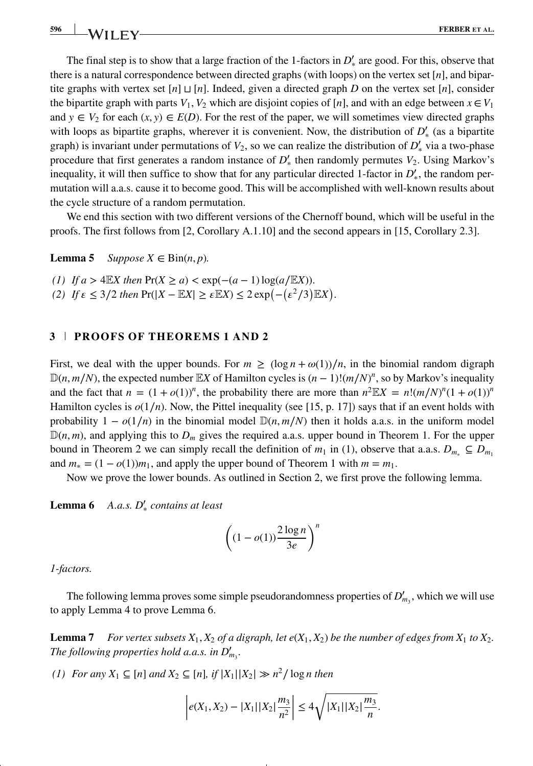The final step is to show that a large fraction of the 1-factors in  $D'_{*}$  are good. For this, observe that there is a natural correspondence between directed graphs (with loops) on the vertex set [*n*], and bipartite graphs with vertex set [*n*] *⊔* [*n*]. Indeed, given a directed graph *D* on the vertex set [*n*], consider the bipartite graph with parts *V*<sub>1</sub>, *V*<sub>2</sub> which are disjoint copies of [*n*], and with an edge between  $x \in V_1$ and  $y \in V_2$  for each  $(x, y) \in E(D)$ . For the rest of the paper, we will sometimes view directed graphs with loops as bipartite graphs, wherever it is convenient. Now, the distribution of  $D'_{*}$  (as a bipartite graph) is invariant under permutations of  $V_2$ , so we can realize the distribution of  $D'_{\ast}$  via a two-phase procedure that first generates a random instance of  $D'_{*}$  then randomly permutes  $V_2$ . Using Markov's inequality, it will then suffice to show that for any particular directed 1-factor in  $D'_{*}$ , the random permutation will a.a.s. cause it to become good. This will be accomplished with well-known results about the cycle structure of a random permutation.

We end this section with two different versions of the Chernoff bound, which will be useful in the proofs. The first follows from [2, Corollary A.1.10] and the second appears in [15, Corollary 2.3].

**Lemma 5** *Suppose*  $X \in Bin(n, p)$ *.* 

- *(1) If a* > 4 $\mathbb{E}X$  *then*  $Pr(X \ge a) < exp(-(a-1)\log(a/\mathbb{E}X))$ .
- *(2) If*  $\epsilon$  ≤ 3/2 *then* Pr( $|X \mathbb{E}X|$  ≥  $\epsilon \mathbb{E}X$ ) ≤ 2 exp( $-(\epsilon^2/3)\mathbb{E}X$ ).

## **3 PROOFS OF THEOREMS 1 AND 2**

First, we deal with the upper bounds. For  $m \geq (\log n + \omega(1))/n$ , in the binomial random digraph  $\mathbb{D}(n,m/N)$ , the expected number  $\mathbb{E}[X]$  of Hamilton cycles is  $(n-1)!(m/N)^n$ , so by Markov's inequality and the fact that  $n = (1 + o(1))^n$ , the probability there are more than  $n^2 \mathbb{E}X = n!(m/N)^n(1 + o(1))^n$ Hamilton cycles is *o*(1∕*n*). Now, the Pittel inequality (see [15, p. 17]) says that if an event holds with probability  $1 - o(1/n)$  in the binomial model  $D(n, m/N)$  then it holds a.a.s. in the uniform model  $\mathbb{D}(n,m)$ , and applying this to  $D_m$  gives the required a.a.s. upper bound in Theorem 1. For the upper bound in Theorem 2 we can simply recall the definition of  $m_1$  in (1), observe that a.a.s.  $D_{m_1} \subseteq D_{m_1}$ and  $m<sub>*</sub> = (1 - o(1))m<sub>1</sub>$ , and apply the upper bound of Theorem 1 with  $m = m<sub>1</sub>$ .

Now we prove the lower bounds. As outlined in Section 2, we first prove the following lemma.

**Lemma 6** *A.a.s. D*′ <sup>∗</sup> *contains at least*

$$
\left((1-o(1))\frac{2\log n}{3e}\right)^n
$$

*1-factors.*

The following lemma proves some simple pseudorandomness properties of  $D'_{m_3}$ , which we will use to apply Lemma 4 to prove Lemma 6.

**Lemma 7** *For vertex subsets*  $X_1, X_2$  *of a digraph, let*  $e(X_1, X_2)$  *be the number of edges from*  $X_1$  *to*  $X_2$ *. The following properties hold a.a.s. in*  $D'_{m_3}$ *.* 

*(1) For any*  $X_1$  ⊆ [*n*] *and*  $X_2$  ⊆ [*n*]*, if*  $|X_1||X_2| \gg n^2$ / log *n then* 

$$
\left|e(X_1, X_2) - |X_1||X_2|\frac{m_3}{n^2}\right| \le 4\sqrt{|X_1||X_2|\frac{m_3}{n}}.
$$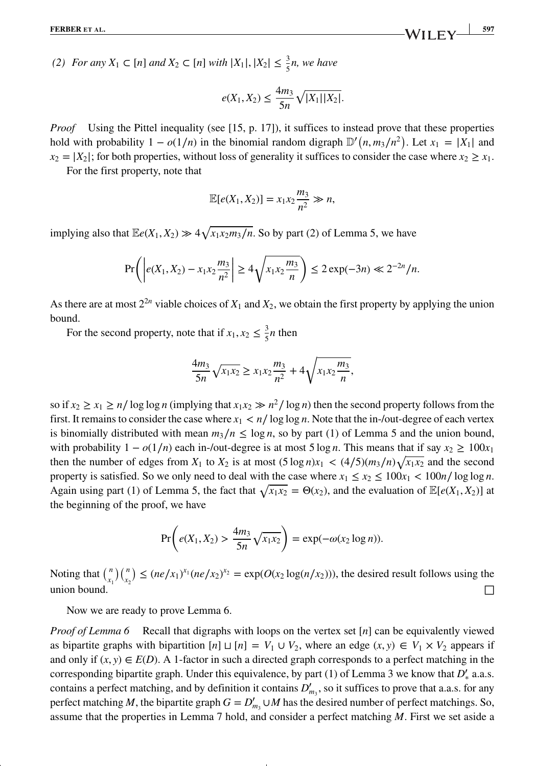*(2) For any*  $X_1$  ⊂ [*n*] *and*  $X_2$  ⊂ [*n*] *with*  $|X_1|, |X_2|$  ≤  $\frac{3}{5}$ *n, we have* 

$$
e(X_1, X_2) \le \frac{4m_3}{5n} \sqrt{|X_1||X_2|}.
$$

*Proof* Using the Pittel inequality (see [15, p. 17]), it suffices to instead prove that these properties hold with probability  $1 - o(1/n)$  in the binomial random digraph  $\mathbb{D}'(n, m_3/n^2)$ . Let  $x_1 = |X_1|$  and  $x_2 = |X_2|$ ; for both properties, without loss of generality it suffices to consider the case where  $x_2 \ge x_1$ .

For the first property, note that

$$
\mathbb{E}[e(X_1,X_2)] = x_1x_2\frac{m_3}{n^2} \gg n,
$$

implying also that  $\mathbb{E}e(X_1, X_2) \gg 4\sqrt{x_1x_2m_3/n}$ . So by part (2) of Lemma 5, we have

$$
\Pr\left(\left|e(X_1, X_2) - x_1x_2\frac{m_3}{n^2}\right| \ge 4\sqrt{x_1x_2\frac{m_3}{n}}\right) \le 2\exp(-3n) \ll 2^{-2n}/n.
$$

As there are at most  $2^{2n}$  viable choices of  $X_1$  and  $X_2$ , we obtain the first property by applying the union bound.

For the second property, note that if  $x_1, x_2 \leq \frac{3}{5}n$  then

$$
\frac{4m_3}{5n}\sqrt{x_1x_2} \ge x_1x_2\frac{m_3}{n^2} + 4\sqrt{x_1x_2\frac{m_3}{n}},
$$

so if  $x_2 \ge x_1 \ge n/\log \log n$  (implying that  $x_1x_2 \gg n^2/\log n$ ) then the second property follows from the first. It remains to consider the case where  $x_1 < n/ \log \log n$ . Note that the in-/out-degree of each vertex is binomially distributed with mean  $m_3/n \le \log n$ , so by part (1) of Lemma 5 and the union bound, with probability  $1 - o(1/n)$  each in-/out-degree is at most 5 log *n*. This means that if say  $x_2 \ge 100x_1$ then the number of edges from  $X_1$  to  $X_2$  is at most  $(5 \log n)x_1 < (4/5)(m_3/n)\sqrt{x_1x_2}$  and the second property is satisfied. So we only need to deal with the case where  $x_1 \le x_2 \le 100x_1 < 100n/\log\log n$ . Again using part (1) of Lemma 5, the fact that  $\sqrt{x_1 x_2} = \Theta(x_2)$ , and the evaluation of  $\mathbb{E}[e(X_1, X_2)]$  at the beginning of the proof, we have

$$
\Pr\bigg(e(X_1, X_2) > \frac{4m_3}{5n} \sqrt{x_1 x_2}\bigg) = \exp(-\omega(x_2 \log n)).
$$

Noting that  $\binom{n}{x_1}$ )( *<sup>n</sup> x*2  $\leq$   $(ne/x_1)^{x_1}(ne/x_2)^{x_2}$  =  $exp(O(x_2 log(n/x_2)))$ , the desired result follows using the union bound.  $\Box$ 

Now we are ready to prove Lemma 6.

*Proof of Lemma 6* Recall that digraphs with loops on the vertex set [*n*] can be equivalently viewed as bipartite graphs with bipartition  $[n] \sqcup [n] = V_1 \cup V_2$ , where an edge  $(x, y) \in V_1 \times V_2$  appears if and only if  $(x, y) \in E(D)$ . A 1-factor in such a directed graph corresponds to a perfect matching in the corresponding bipartite graph. Under this equivalence, by part (1) of Lemma 3 we know that *D*′ <sup>∗</sup> a.a.s. contains a perfect matching, and by definition it contains  $D'_{m_3}$ , so it suffices to prove that a.a.s. for any perfect matching *M*, the bipartite graph  $G = D'_{m_3} \cup M$  has the desired number of perfect matchings. So, assume that the properties in Lemma 7 hold, and consider a perfect matching *M*. First we set aside a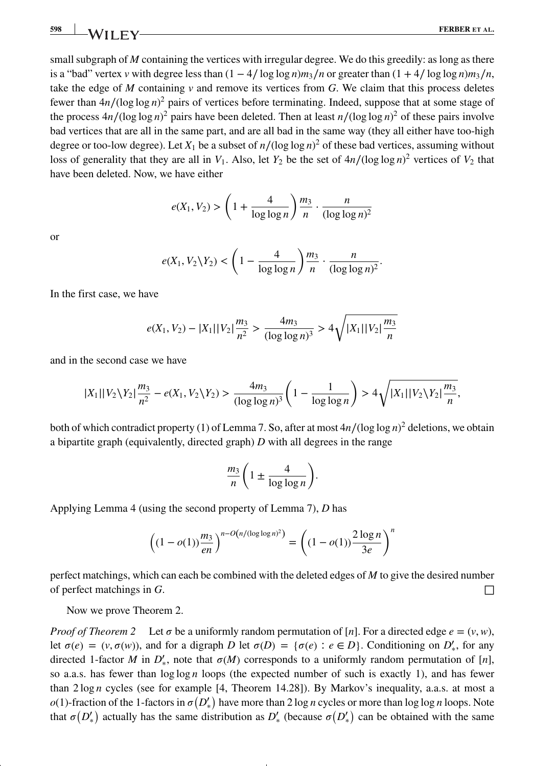small subgraph of *M* containing the vertices with irregular degree. We do this greedily: as long as there is a "bad" vertex *v* with degree less than  $(1 - 4/\log \log n)m_3/n$  or greater than  $(1 + 4/\log \log n)m_3/n$ , take the edge of  $M$  containing  $\nu$  and remove its vertices from  $G$ . We claim that this process deletes fewer than 4*n*∕(log log *n*) <sup>2</sup> pairs of vertices before terminating. Indeed, suppose that at some stage of the process  $4n/(\log \log n)^2$  pairs have been deleted. Then at least  $n/(\log \log n)^2$  of these pairs involve bad vertices that are all in the same part, and are all bad in the same way (they all either have too-high degree or too-low degree). Let  $X_1$  be a subset of  $n/(\log \log n)^2$  of these bad vertices, assuming without loss of generality that they are all in  $V_1$ . Also, let  $Y_2$  be the set of  $4n/(\log \log n)^2$  vertices of  $V_2$  that have been deleted. Now, we have either

$$
e(X_1, V_2) > \left(1 + \frac{4}{\log \log n}\right) \frac{m_3}{n} \cdot \frac{n}{(\log \log n)^2}
$$

or

$$
e(X_1, V_2 \backslash Y_2) < \left(1 - \frac{4}{\log \log n}\right) \frac{m_3}{n} \cdot \frac{n}{(\log \log n)^2}.
$$

In the first case, we have

$$
e(X_1, V_2) - |X_1||V_2|\frac{m_3}{n^2} > \frac{4m_3}{(\log\log n)^3} > 4\sqrt{|X_1||V_2|\frac{m_3}{n}}
$$

and in the second case we have

$$
|X_1||V_2\setminus Y_2|\frac{m_3}{n^2}-e(X_1,V_2\setminus Y_2)>\frac{4m_3}{(\log\log n)^3}\left(1-\frac{1}{\log\log n}\right)>4\sqrt{|X_1||V_2\setminus Y_2|\frac{m_3}{n}},
$$

both of which contradict property (1) of Lemma 7. So, after at most 4*n*∕(log log *n*) <sup>2</sup> deletions, we obtain a bipartite graph (equivalently, directed graph) *D* with all degrees in the range

$$
\frac{m_3}{n} \left( 1 \pm \frac{4}{\log \log n} \right).
$$

Applying Lemma 4 (using the second property of Lemma 7), *D* has

$$
\left((1 - o(1))\frac{m_3}{en}\right)^{n - O(n/(\log \log n)^2)} = \left((1 - o(1))\frac{2\log n}{3e}\right)^n
$$

perfect matchings, which can each be combined with the deleted edges of *M* to give the desired number of perfect matchings in  $G$ .

Now we prove Theorem 2.

*Proof of Theorem 2* Let  $\sigma$  be a uniformly random permutation of [*n*]. For a directed edge  $e = (v, w)$ , let  $\sigma(e) = (v, \sigma(w))$ , and for a digraph *D* let  $\sigma(D) = {\sigma(e) : e \in D}$ . Conditioning on  $D'_{*}$ , for any directed 1-factor *M* in  $D'_{*}$ , note that  $\sigma(M)$  corresponds to a uniformly random permutation of [*n*], so a.a.s. has fewer than  $\log \log n$  loops (the expected number of such is exactly 1), and has fewer than 2 log *n* cycles (see for example [4, Theorem 14.28]). By Markov's inequality, a.a.s. at most a  $o(1)$ -fraction of the 1-factors in  $\sigma(D'_*)$  have more than 2 log *n* cycles or more than log log *n* loops. Note that  $\sigma(D'_*)$  actually has the same distribution as  $D'_*$  (because  $\sigma(D'_*)$ ) can be obtained with the same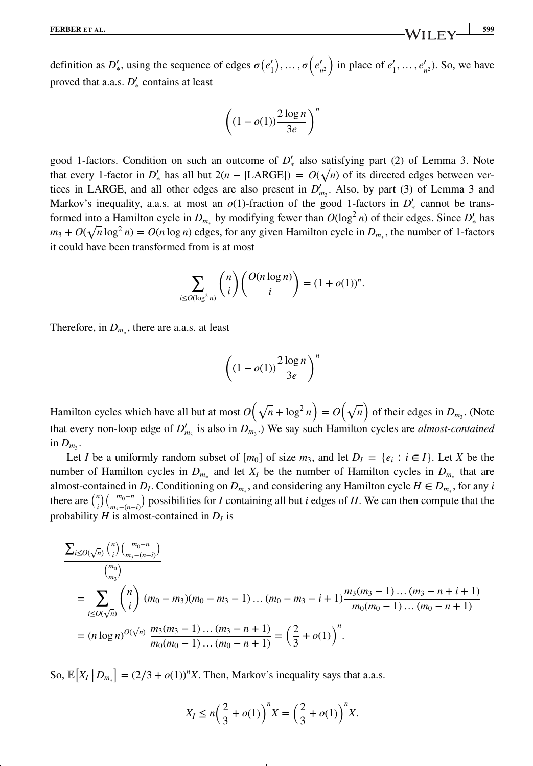definition as  $D'_{*}$ , using the sequence of edges  $\sigma(e'_{1}), \ldots, \sigma(e'_{n^{2}})$ ) in place of  $e'_{1}, \ldots, e'_{n^{2}}$ ). So, we have proved that a.a.s. *D'*<sub>\*</sub> contains at least

$$
\left((1-o(1))\frac{2\log n}{3e}\right)^n
$$

good 1-factors. Condition on such an outcome of  $D'_{\ast}$  also satisfying part (2) of Lemma 3. Note that every 1-factor in  $D'_*$  has all but  $2(n - |LARGE|) = O(\sqrt{n})$  of its directed edges between vertices in LARGE, and all other edges are also present in  $D'_{m_3}$ . Also, by part (3) of Lemma 3 and Markov's inequality, a.a.s. at most an  $o(1)$ -fraction of the good 1-factors in  $D'_{*}$  cannot be transformed into a Hamilton cycle in  $D_{m_*}$  by modifying fewer than  $O(\log^2 n)$  of their edges. Since  $D'_*$  has  $m_3 + O(\sqrt{n}\log^2 n) = O(n\log n)$  edges, for any given Hamilton cycle in  $D_{m_*}$ , the number of 1-factors it could have been transformed from is at most

$$
\sum_{i \le O(\log^2 n)} \binom{n}{i} \binom{O(n \log n)}{i} = (1 + o(1))^n.
$$

Therefore, in  $D_m$ , there are a.a.s. at least

$$
\left((1-o(1))\frac{2\log n}{3e}\right)^n
$$

Hamilton cycles which have all but at most  $O(\sqrt{n} + \log^2 n) = O(\sqrt{n})$  of their edges in  $D_{m_3}$ . (Note that every non-loop edge of  $D'_{m_3}$  is also in  $D_{m_3}$ .) We say such Hamilton cycles are *almost-contained* in  $D_m$ .

Let *I* be a uniformly random subset of  $[m_0]$  of size  $m_3$ , and let  $D_l = \{e_i : i \in I\}$ . Let *X* be the number of Hamilton cycles in  $D_{m<sub>s</sub>}$  and let  $X_I$  be the number of Hamilton cycles in  $D_{m<sub>s</sub>}$  that are almost-contained in *D<sub>I</sub>*. Conditioning on  $D_{m<sub>s</sub>}$ , and considering any Hamilton cycle  $H \in D_{m<sub>s</sub>}$ , for any *i* there are  $\binom{n}{i} \binom{m_0 - n}{m_3 - (n-1)}$ *m*3−(*n*−*i*) ) possibilities for *I* containing all but *i* edges of *H*. We can then compute that the probability  $H$  is almost-contained in  $D_I$  is

$$
\frac{\sum_{i \le O(\sqrt{n})} {n \choose i} {m_0 - n \choose m_3 - (n-i)} \over {m_0 \choose m_3}}
$$
\n
$$
= \sum_{i \le O(\sqrt{n})} {n \choose i} (m_0 - m_3)(m_0 - m_3 - 1) \dots (m_0 - m_3 - i + 1) \frac{m_3(m_3 - 1) \dots (m_3 - n + i + 1)}{m_0(m_0 - 1) \dots (m_0 - n + 1)}
$$
\n
$$
= (n \log n)^{O(\sqrt{n})} \frac{m_3(m_3 - 1) \dots (m_3 - n + 1)}{m_0(m_0 - 1) \dots (m_0 - n + 1)} = \left(\frac{2}{3} + o(1)\right)^n.
$$

So,  $\mathbb{E}[X_I | D_{m_*}] = (2/3 + o(1))^n X$ . Then, Markov's inequality says that a.a.s.

$$
X_I \le n\left(\frac{2}{3} + o(1)\right)^n X = \left(\frac{2}{3} + o(1)\right)^n X.
$$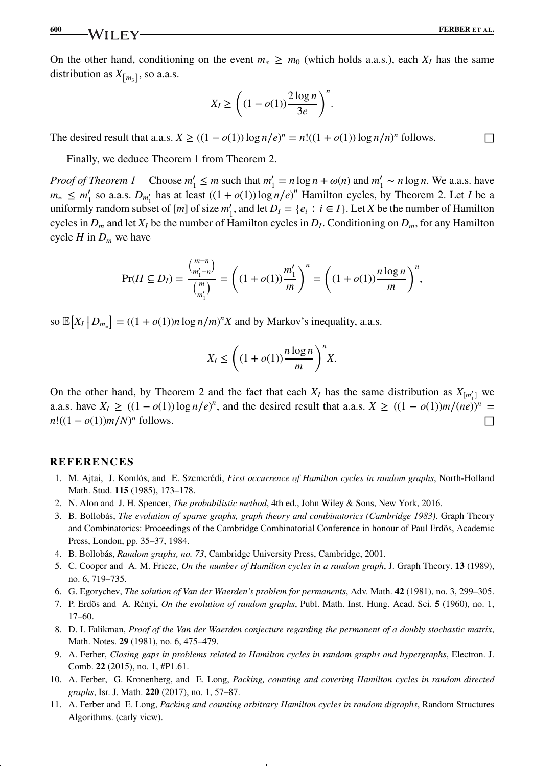On the other hand, conditioning on the event  $m_* \geq m_0$  (which holds a.a.s.), each  $X_I$  has the same distribution as  $X_{\lceil m_3 \rceil}$ , so a.a.s.

$$
X_I \ge \left( (1 - o(1)) \frac{2 \log n}{3e} \right)^n.
$$

The desired result that a.a.s.  $X \ge ((1 - o(1)) \log n/e)^n = n!((1 + o(1)) \log n/n)^n$  follows.

Finally, we deduce Theorem 1 from Theorem 2.

*Proof of Theorem 1* Choose  $m'_1 \le m$  such that  $m'_1 = n \log n + \omega(n)$  and  $m'_1 \sim n \log n$ . We a.a.s. have  $m_* \leq m'_1$  so a.a.s.  $D_{m'_1}$  has at least  $((1 + o(1)) \log n/e)^n$  Hamilton cycles, by Theorem 2. Let *I* be a uniformly random subset of  $[m]$  of size  $m'_1$ , and let  $D_I = \{e_i : i \in I\}$ . Let *X* be the number of Hamilton cycles in  $D_m$  and let  $X_I$  be the number of Hamilton cycles in  $D_I$ . Conditioning on  $D_m$ , for any Hamilton cycle  $H$  in  $D_m$  we have

$$
\Pr(H \subseteq D_I) = \frac{{\binom{m-n}{m'_1 - n}}}{\binom{m}{m'_1}} = \left( (1 + o(1)) \frac{m'_1}{m} \right)^n = \left( (1 + o(1)) \frac{n \log n}{m} \right)^n,
$$

so  $\mathbb{E}[X_I | D_{m_*}] = ((1 + o(1))n \log n/m)^n X$  and by Markov's inequality, a.a.s.

$$
X_I \le \left( (1 + o(1)) \frac{n \log n}{m} \right)^n X.
$$

On the other hand, by Theorem 2 and the fact that each  $X_I$  has the same distribution as  $X_{[m'_1]}$  we a.a.s. have  $X_I \ge ((1 - o(1)) \log n/e)^n$ , and the desired result that a.a.s.  $X \ge ((1 - o(1))m/(ne))^n$  $n!((1 - o(1))m/N)^n$  follows. *n* follows.

### **REFERENCES**

- 1. M. Ajtai, J. Komlós, and E. Szemerédi, *First occurrence of Hamilton cycles in random graphs*, North-Holland Math. Stud. **115** (1985), 173–178.
- 2. N. Alon and J. H. Spencer, *The probabilistic method*, 4th ed., John Wiley & Sons, New York, 2016.
- 3. B. Bollobás, *The evolution of sparse graphs, graph theory and combinatorics (Cambridge 1983)*. Graph Theory and Combinatorics: Proceedings of the Cambridge Combinatorial Conference in honour of Paul Erdös, Academic Press, London, pp. 35–37, 1984.
- 4. B. Bollobás, *Random graphs, no. 73*, Cambridge University Press, Cambridge, 2001.
- 5. C. Cooper and A. M. Frieze, *On the number of Hamilton cycles in a random graph*, J. Graph Theory. **13** (1989), no. 6, 719–735.
- 6. G. Egorychev, *The solution of Van der Waerden's problem for permanents*, Adv. Math. **42** (1981), no. 3, 299–305.
- 7. P. Erdös and A. Rényi, *On the evolution of random graphs*, Publ. Math. Inst. Hung. Acad. Sci. **5** (1960), no. 1, 17–60.
- 8. D. I. Falikman, *Proof of the Van der Waerden conjecture regarding the permanent of a doubly stochastic matrix*, Math. Notes. **29** (1981), no. 6, 475–479.
- 9. A. Ferber, *Closing gaps in problems related to Hamilton cycles in random graphs and hypergraphs*, Electron. J. Comb. **22** (2015), no. 1, #P1.61.
- 10. A. Ferber, G. Kronenberg, and E. Long, *Packing, counting and covering Hamilton cycles in random directed graphs*, Isr. J. Math. **220** (2017), no. 1, 57–87.
- 11. A. Ferber and E. Long, *Packing and counting arbitrary Hamilton cycles in random digraphs*, Random Structures Algorithms. (early view).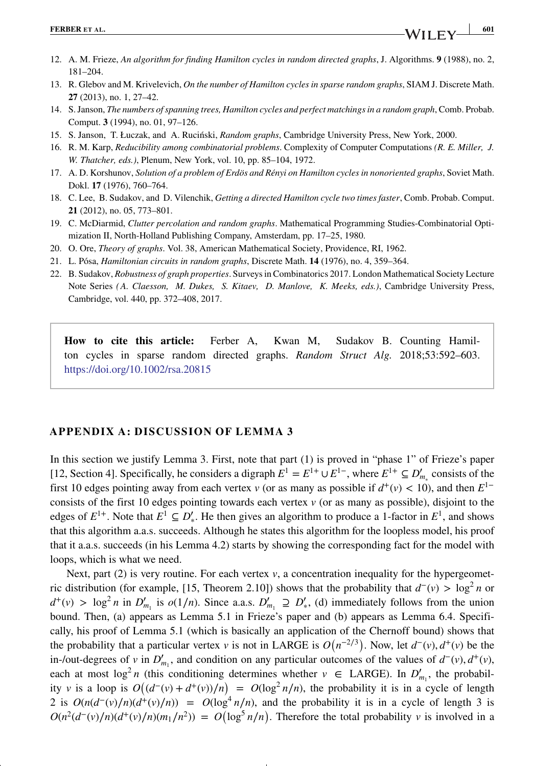- 12. A. M. Frieze, *An algorithm for finding Hamilton cycles in random directed graphs*, J. Algorithms. **9** (1988), no. 2, 181–204.
- 13. R. Glebov and M. Krivelevich, *On the number of Hamilton cycles in sparse random graphs*, SIAM J. Discrete Math. **27** (2013), no. 1, 27–42.
- 14. S. Janson, *The numbers of spanning trees, Hamilton cycles and perfect matchings in a random graph*, Comb. Probab. Comput. **3** (1994), no. 01, 97–126.
- 15. S. Janson, T. Łuczak, and A. Ruciński, *Random graphs*, Cambridge University Press, New York, 2000.
- 16. R. M. Karp, *Reducibility among combinatorial problems*. Complexity of Computer Computations *(R. E. Miller, J. W. Thatcher, eds.)*, Plenum, New York, vol. 10, pp. 85–104, 1972.
- 17. A. D. Korshunov, *Solution of a problem of Erdös and Rényi on Hamilton cycles in nonoriented graphs*, Soviet Math. Dokl. **17** (1976), 760–764.
- 18. C. Lee, B. Sudakov, and D. Vilenchik, *Getting a directed Hamilton cycle two times faster*, Comb. Probab. Comput. **21** (2012), no. 05, 773–801.
- 19. C. McDiarmid, *Clutter percolation and random graphs*. Mathematical Programming Studies-Combinatorial Optimization II, North-Holland Publishing Company, Amsterdam, pp. 17–25, 1980.
- 20. O. Ore, *Theory of graphs*. Vol. 38, American Mathematical Society, Providence, RI, 1962.
- 21. L. Pósa, *Hamiltonian circuits in random graphs*, Discrete Math. **14** (1976), no. 4, 359–364.
- 22. B. Sudakov, *Robustness of graph properties*. Surveys in Combinatorics 2017. London Mathematical Society Lecture Note Series *( A. Claesson, M. Dukes, S. Kitaev, D. Manlove, K. Meeks, eds.)*, Cambridge University Press, Cambridge, vol. 440, pp. 372–408, 2017.

**How to cite this article:** Ferber A, Kwan M, Sudakov B. Counting Hamilton cycles in sparse random directed graphs. *Random Struct Alg.* 2018;53:592–603. https://doi.org/10.1002/rsa.20815

## **APPENDIX A: DISCUSSION OF LEMMA 3**

In this section we justify Lemma 3. First, note that part (1) is proved in "phase 1" of Frieze's paper [12, Section 4]. Specifically, he considers a digraph  $E^1 = E^{1+} \cup E^{1-}$ , where  $E^{1+} \subseteq D'_{m_*}$  consists of the first 10 edges pointing away from each vertex *v* (or as many as possible if  $d^+(v) < 10$ ), and then  $E^{1-}$ consists of the first 10 edges pointing towards each vertex  $v$  (or as many as possible), disjoint to the edges of  $E^{1+}$ . Note that  $E^1 \subseteq D'_*$ . He then gives an algorithm to produce a 1-factor in  $E^1$ , and shows that this algorithm a.a.s. succeeds. Although he states this algorithm for the loopless model, his proof that it a.a.s. succeeds (in his Lemma 4.2) starts by showing the corresponding fact for the model with loops, which is what we need.

Next, part  $(2)$  is very routine. For each vertex  $\nu$ , a concentration inequality for the hypergeometric distribution (for example, [15, Theorem 2.10]) shows that the probability that  $d^-(v) > \log^2 n$  or  $d^+(v) > \log^2 n$  in  $D'_{m_1}$  is  $o(1/n)$ . Since a.a.s.  $D'_{m_1} \supseteq D'_{*}$ , (d) immediately follows from the union bound. Then, (a) appears as Lemma 5.1 in Frieze's paper and (b) appears as Lemma 6.4. Specifically, his proof of Lemma 5.1 (which is basically an application of the Chernoff bound) shows that the probability that a particular vertex *v* is not in LARGE is  $O(n^{-2/3})$ . Now, let  $d^-(v)$ ,  $d^+(v)$  be the in-/out-degrees of *v* in  $D'_{m_1}$ , and condition on any particular outcomes of the values of  $d^-(v)$ ,  $d^+(v)$ , each at most  $\log^2 n$  (this conditioning determines whether  $v \in \text{LARGE}$ ). In  $D'_{m_1}$ , the probability *v* is a loop is  $O((d^-(v) + d^+(v))/n) = O(\log^2 n/n)$ , the probability it is in a cycle of length 2 is  $O(n(d^-(v)/n)(d^+(v)/n)) = O(\log^4 n/n)$ , and the probability it is in a cycle of length 3 is  $O(n^2(d^-(v)/n)(d^+(v)/n)(m_1/n^2)) = O(\log^5 n/n)$ . Therefore the total probability *v* is involved in a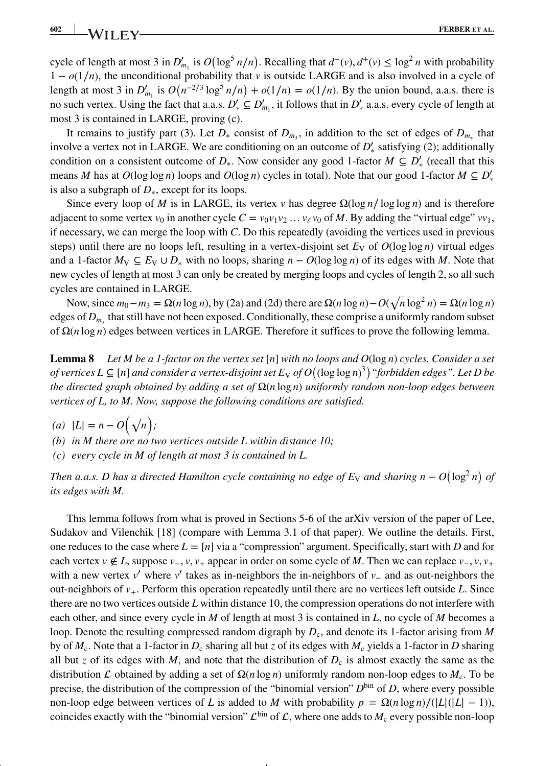**602 WII FV FERBER** ET AL.

cycle of length at most 3 in  $D'_{m_1}$  is  $O(\log^5 n/n)$ . Recalling that  $d^-(v)$ ,  $d^+(v) \le \log^2 n$  with probability 1 − *o*(1∕*n*), the unconditional probability that *v* is outside LARGE and is also involved in a cycle of length at most 3 in  $D'_{m_1}$  is  $O(n^{-2/3} \log^5 n/n) + o(1/n) = o(1/n)$ . By the union bound, a.a.s. there is no such vertex. Using the fact that a.a.s.  $D'_* \subseteq D'_{m_1}$ , it follows that in  $D'_*$  a.a.s. every cycle of length at most 3 is contained in LARGE, proving (c).

It remains to justify part (3). Let  $D_{*}$  consist of  $D_{m}$ , in addition to the set of edges of  $D_{m}$ , that involve a vertex not in LARGE. We are conditioning on an outcome of  $D'_{\ast}$  satisfying (2); additionally condition on a consistent outcome of  $D_*$ . Now consider any good 1-factor  $M \subseteq D'_*$  (recall that this means *M* has at  $O(\log \log n)$  loops and  $O(\log n)$  cycles in total). Note that our good 1-factor  $M \subseteq D'_{*}$ is also a subgraph of *D*∗, except for its loops.

Since every loop of *M* is in LARGE, its vertex *v* has degree  $\Omega(\log n / \log \log n)$  and is therefore adjacent to some vertex  $v_0$  in another cycle  $C = v_0v_1v_2 \ldots v_\ell v_0$  of M. By adding the "virtual edge"  $vv_1$ , if necessary, we can merge the loop with *C*. Do this repeatedly (avoiding the vertices used in previous steps) until there are no loops left, resulting in a vertex-disjoint set  $E_V$  of  $O(\log \log n)$  virtual edges and a 1-factor  $M_V \subseteq E_V \cup D_*$  with no loops, sharing  $n - O(\log \log n)$  of its edges with *M*. Note that new cycles of length at most 3 can only be created by merging loops and cycles of length 2, so all such cycles are contained in LARGE.

Now, since  $m_0 - m_3 = Ω(n \log n)$ , by (2a) and (2d) there are  $Ω(n \log n) - O(√n \log^2 n) = Ω(n \log n)$ edges of *Dm*<sup>∗</sup> that still have not been exposed. Conditionally, these comprise a uniformly random subset of Ω(*n* log *n*) edges between vertices in LARGE. Therefore it suffices to prove the following lemma.

**Lemma 8** *Let M be a 1-factor on the vertex set*  $[n]$  *with no loops and*  $O(log n)$  *cycles. Consider a set of vertices L ⊆* [*n*] *and consider a vertex-disjoint set E*<sup>V</sup> *of O*( (log log *n*) 3) *"forbidden edges". Let D be the directed graph obtained by adding a set of* Ω(*n* log *n*) *uniformly random non-loop edges between vertices of L, to M. Now, suppose the following conditions are satisfied.*

 $(a) |L| = n - O(\sqrt{n});$ 

*(b) in M there are no two vertices outside L within distance 10;*

*(c) every cycle in M of length at most 3 is contained in L.*

*Then a.a.s. D has a directed Hamilton cycle containing no edge of*  $E_v$  *and sharing n –*  $O(\log^2 n)$  *of its edges with M.*

This lemma follows from what is proved in Sections 5-6 of the arXiv version of the paper of Lee, Sudakov and Vilenchik [18] (compare with Lemma 3.1 of that paper). We outline the details. First, one reduces to the case where  $L = [n]$  via a "compression" argument. Specifically, start with *D* and for each vertex *v* ∉ *L*, suppose *v*<sub>−</sub>, *v*, *v*<sub>+</sub> appear in order on some cycle of *M*. Then we can replace *v*<sub>−</sub>, *v*, *v*<sub>+</sub> with a new vertex *v*′ where *v*′ takes as in-neighbors the in-neighbors of *v*<sup>−</sup> and as out-neighbors the out-neighbors of *v*+. Perform this operation repeatedly until there are no vertices left outside *L*. Since there are no two vertices outside *L* within distance 10, the compression operations do not interfere with each other, and since every cycle in *M* of length at most 3 is contained in *L*, no cycle of *M* becomes a loop. Denote the resulting compressed random digraph by  $D_c$ , and denote its 1-factor arising from *M* by of  $M_c$ . Note that a 1-factor in  $D_c$  sharing all but *z* of its edges with  $M_c$  yields a 1-factor in *D* sharing all but *z* of its edges with *M*, and note that the distribution of  $D_c$  is almost exactly the same as the distribution L obtained by adding a set of  $\Omega(n \log n)$  uniformly random non-loop edges to  $M_c$ . To be precise, the distribution of the compression of the "binomial version"  $D^{\text{bin}}$  of *D*, where every possible non-loop edge between vertices of *L* is added to *M* with probability  $p = \Omega(n \log n) / (|L|(|L| - 1))$ , coincides exactly with the "binomial version"  $\mathcal{L}^{bin}$  of  $\mathcal{L}$ , where one adds to  $M_c$  every possible non-loop